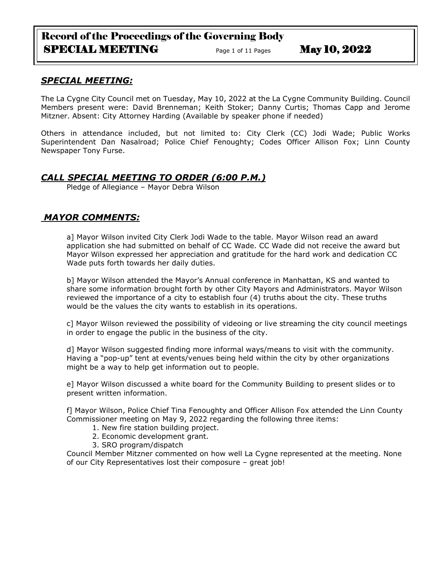# Record of the Proceedings of the Governing Body SPECIAL MEETING<br>
Page 1 of 11 Pages May 10, 2022

## *SPECIAL MEETING:*

The La Cygne City Council met on Tuesday, May 10, 2022 at the La Cygne Community Building. Council Members present were: David Brenneman; Keith Stoker; Danny Curtis; Thomas Capp and Jerome Mitzner. Absent: City Attorney Harding (Available by speaker phone if needed)

Others in attendance included, but not limited to: City Clerk (CC) Jodi Wade; Public Works Superintendent Dan Nasalroad; Police Chief Fenoughty; Codes Officer Allison Fox; Linn County Newspaper Tony Furse.

# *CALL SPECIAL MEETING TO ORDER (6:00 P.M.)*

Pledge of Allegiance – Mayor Debra Wilson

# *MAYOR COMMENTS:*

a] Mayor Wilson invited City Clerk Jodi Wade to the table. Mayor Wilson read an award application she had submitted on behalf of CC Wade. CC Wade did not receive the award but Mayor Wilson expressed her appreciation and gratitude for the hard work and dedication CC Wade puts forth towards her daily duties.

b] Mayor Wilson attended the Mayor's Annual conference in Manhattan, KS and wanted to share some information brought forth by other City Mayors and Administrators. Mayor Wilson reviewed the importance of a city to establish four (4) truths about the city. These truths would be the values the city wants to establish in its operations.

c] Mayor Wilson reviewed the possibility of videoing or live streaming the city council meetings in order to engage the public in the business of the city.

d] Mayor Wilson suggested finding more informal ways/means to visit with the community. Having a "pop-up" tent at events/venues being held within the city by other organizations might be a way to help get information out to people.

e] Mayor Wilson discussed a white board for the Community Building to present slides or to present written information.

f] Mayor Wilson, Police Chief Tina Fenoughty and Officer Allison Fox attended the Linn County Commissioner meeting on May 9, 2022 regarding the following three items:

- 1. New fire station building project.
- 2. Economic development grant.
- 3. SRO program/dispatch

Council Member Mitzner commented on how well La Cygne represented at the meeting. None of our City Representatives lost their composure – great job!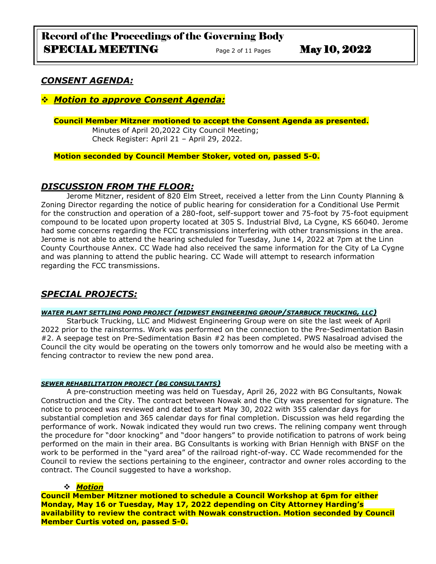### *CONSENT AGENDA:*

### ❖ *Motion to approve Consent Agenda:*

#### **Council Member Mitzner motioned to accept the Consent Agenda as presented.**

Minutes of April 20,2022 City Council Meeting; Check Register: April 21 – April 29, 2022.

**Motion seconded by Council Member Stoker, voted on, passed 5-0.** 

### *DISCUSSION FROM THE FLOOR:*

Jerome Mitzner, resident of 820 Elm Street, received a letter from the Linn County Planning & Zoning Director regarding the notice of public hearing for consideration for a Conditional Use Permit for the construction and operation of a 280-foot, self-support tower and 75-foot by 75-foot equipment compound to be located upon property located at 305 S. Industrial Blvd, La Cygne, KS 66040. Jerome had some concerns regarding the FCC transmissions interfering with other transmissions in the area. Jerome is not able to attend the hearing scheduled for Tuesday, June 14, 2022 at 7pm at the Linn County Courthouse Annex. CC Wade had also received the same information for the City of La Cygne and was planning to attend the public hearing. CC Wade will attempt to research information regarding the FCC transmissions.

## *SPECIAL PROJECTS:*

#### *WATER PLANT SETTLING POND PROJECT (MIDWEST ENGINEERING GROUP/STARBUCK TRUCKING, LLC)*

Starbuck Trucking, LLC and Midwest Engineering Group were on site the last week of April 2022 prior to the rainstorms. Work was performed on the connection to the Pre-Sedimentation Basin #2. A seepage test on Pre-Sedimentation Basin #2 has been completed. PWS Nasalroad advised the Council the city would be operating on the towers only tomorrow and he would also be meeting with a fencing contractor to review the new pond area.

#### *SEWER REHABILITATION PROJECT (BG CONSULTANTS)*

A pre-construction meeting was held on Tuesday, April 26, 2022 with BG Consultants, Nowak Construction and the City. The contract between Nowak and the City was presented for signature. The notice to proceed was reviewed and dated to start May 30, 2022 with 355 calendar days for substantial completion and 365 calendar days for final completion. Discussion was held regarding the performance of work. Nowak indicated they would run two crews. The relining company went through the procedure for "door knocking" and "door hangers" to provide notification to patrons of work being performed on the main in their area. BG Consultants is working with Brian Hennigh with BNSF on the work to be performed in the "yard area" of the railroad right-of-way. CC Wade recommended for the Council to review the sections pertaining to the engineer, contractor and owner roles according to the contract. The Council suggested to have a workshop.

### ❖ *Motion*

**Council Member Mitzner motioned to schedule a Council Workshop at 6pm for either Monday, May 16 or Tuesday, May 17, 2022 depending on City Attorney Harding's availability to review the contract with Nowak construction. Motion seconded by Council Member Curtis voted on, passed 5-0.**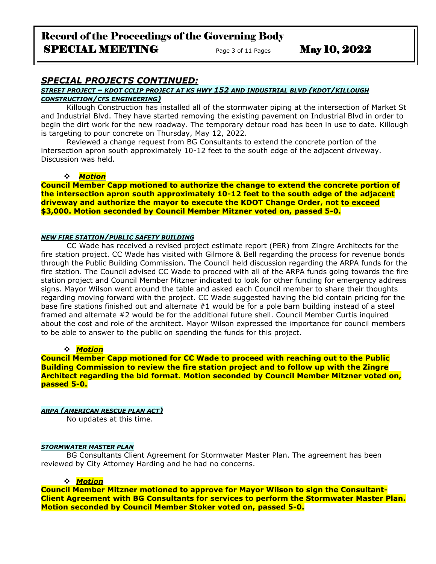# Record of the Proceedings of the Governing Body SPECIAL MEETING  $P_{\text{age 3 of 11 Pages}}$  May 10, 2022

### *SPECIAL PROJECTS CONTINUED:*

#### *STREET PROJECT – KDOT CCLIP PROJECT AT KS HWY 152 AND INDUSTRIAL BLVD (KDOT/KILLOUGH CONSTRUCTION/CFS ENGINEERING)*

Killough Construction has installed all of the stormwater piping at the intersection of Market St and Industrial Blvd. They have started removing the existing pavement on Industrial Blvd in order to begin the dirt work for the new roadway. The temporary detour road has been in use to date. Killough is targeting to pour concrete on Thursday, May 12, 2022.

Reviewed a change request from BG Consultants to extend the concrete portion of the intersection apron south approximately 10-12 feet to the south edge of the adjacent driveway. Discussion was held.

#### ❖ *Motion*

**Council Member Capp motioned to authorize the change to extend the concrete portion of the intersection apron south approximately 10-12 feet to the south edge of the adjacent driveway and authorize the mayor to execute the KDOT Change Order, not to exceed \$3,000. Motion seconded by Council Member Mitzner voted on, passed 5-0.**

#### *NEW FIRE STATION/PUBLIC SAFETY BUILDING*

CC Wade has received a revised project estimate report (PER) from Zingre Architects for the fire station project. CC Wade has visited with Gilmore & Bell regarding the process for revenue bonds through the Public Building Commission. The Council held discussion regarding the ARPA funds for the fire station. The Council advised CC Wade to proceed with all of the ARPA funds going towards the fire station project and Council Member Mitzner indicated to look for other funding for emergency address signs. Mayor Wilson went around the table and asked each Council member to share their thoughts regarding moving forward with the project. CC Wade suggested having the bid contain pricing for the base fire stations finished out and alternate #1 would be for a pole barn building instead of a steel framed and alternate #2 would be for the additional future shell. Council Member Curtis inquired about the cost and role of the architect. Mayor Wilson expressed the importance for council members to be able to answer to the public on spending the funds for this project.

#### ❖ *Motion*

**Council Member Capp motioned for CC Wade to proceed with reaching out to the Public Building Commission to review the fire station project and to follow up with the Zingre Architect regarding the bid format. Motion seconded by Council Member Mitzner voted on, passed 5-0.**

#### *ARPA (AMERICAN RESCUE PLAN ACT)*

No updates at this time.

#### *STORMWATER MASTER PLAN*

BG Consultants Client Agreement for Stormwater Master Plan. The agreement has been reviewed by City Attorney Harding and he had no concerns.

#### ❖ *Motion*

**Council Member Mitzner motioned to approve for Mayor Wilson to sign the Consultant-Client Agreement with BG Consultants for services to perform the Stormwater Master Plan. Motion seconded by Council Member Stoker voted on, passed 5-0.**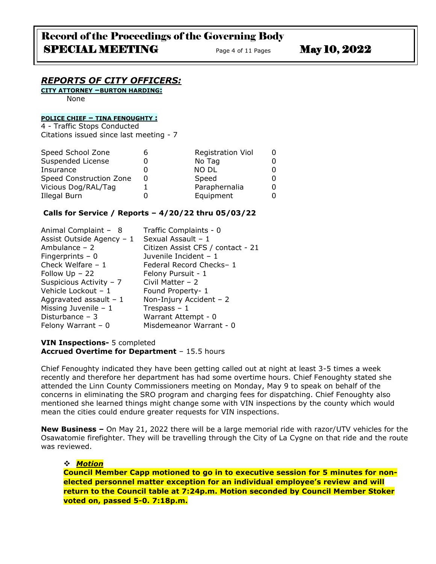### *REPORTS OF CITY OFFICERS:*

**CITY ATTORNEY –BURTON HARDING:**

None

### **POLICE CHIEF – TINA FENOUGHTY :**

4 - Traffic Stops Conducted Citations issued since last meeting - 7

| Speed School Zone       | <b>Registration Viol</b> |  |
|-------------------------|--------------------------|--|
| Suspended License       | No Tag                   |  |
| Insurance               | <b>NO DL</b>             |  |
| Speed Construction Zone | Speed                    |  |
| Vicious Dog/RAL/Tag     | Paraphernalia            |  |
| Illegal Burn            | Equipment                |  |

#### **Calls for Service / Reports – 4/20/22 thru 05/03/22**

| Animal Complaint - 8      | Traffic Complaints - 0            |
|---------------------------|-----------------------------------|
| Assist Outside Agency - 1 | Sexual Assault - 1                |
| Ambulance - 2             | Citizen Assist CFS / contact - 21 |
| Fingerprints $-0$         | Juvenile Incident - 1             |
| Check Welfare $-1$        | Federal Record Checks-1           |
| Follow $Up - 22$          | Felony Pursuit - 1                |
| Suspicious Activity - 7   | Civil Matter $-2$                 |
| Vehicle Lockout - 1       | Found Property- 1                 |
| Aggravated assault $-1$   | Non-Injury Accident - 2           |
| Missing Juvenile $-1$     | Trespass $-1$                     |
| Disturbance $-3$          | Warrant Attempt - 0               |
| Felony Warrant $-0$       | Misdemeanor Warrant - 0           |

#### **VIN Inspections-** 5 completed **Accrued Overtime for Department** – 15.5 hours

Chief Fenoughty indicated they have been getting called out at night at least 3-5 times a week recently and therefore her department has had some overtime hours. Chief Fenoughty stated she attended the Linn County Commissioners meeting on Monday, May 9 to speak on behalf of the concerns in eliminating the SRO program and charging fees for dispatching. Chief Fenoughty also mentioned she learned things might change some with VIN inspections by the county which would mean the cities could endure greater requests for VIN inspections.

**New Business –** On May 21, 2022 there will be a large memorial ride with razor/UTV vehicles for the Osawatomie firefighter. They will be travelling through the City of La Cygne on that ride and the route was reviewed.

#### ❖ *Motion*

**Council Member Capp motioned to go in to executive session for 5 minutes for nonelected personnel matter exception for an individual employee's review and will return to the Council table at 7:24p.m. Motion seconded by Council Member Stoker voted on, passed 5-0. 7:18p.m.**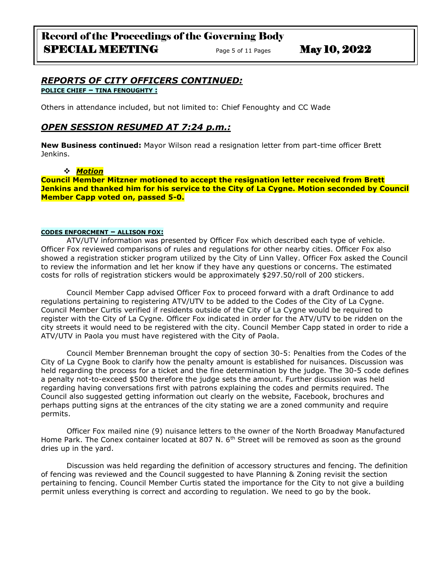### *REPORTS OF CITY OFFICERS CONTINUED:* **POLICE CHIEF – TINA FENOUGHTY :**

Others in attendance included, but not limited to: Chief Fenoughty and CC Wade

### *OPEN SESSION RESUMED AT 7:24 p.m.:*

**New Business continued:** Mayor Wilson read a resignation letter from part-time officer Brett Jenkins.

#### ❖ *Motion*

**Council Member Mitzner motioned to accept the resignation letter received from Brett Jenkins and thanked him for his service to the City of La Cygne. Motion seconded by Council Member Capp voted on, passed 5-0.**

#### **CODES ENFORCMENT – ALLISON FOX:**

ATV/UTV information was presented by Officer Fox which described each type of vehicle. Officer Fox reviewed comparisons of rules and regulations for other nearby cities. Officer Fox also showed a registration sticker program utilized by the City of Linn Valley. Officer Fox asked the Council to review the information and let her know if they have any questions or concerns. The estimated costs for rolls of registration stickers would be approximately \$297.50/roll of 200 stickers.

Council Member Capp advised Officer Fox to proceed forward with a draft Ordinance to add regulations pertaining to registering ATV/UTV to be added to the Codes of the City of La Cygne. Council Member Curtis verified if residents outside of the City of La Cygne would be required to register with the City of La Cygne. Officer Fox indicated in order for the ATV/UTV to be ridden on the city streets it would need to be registered with the city. Council Member Capp stated in order to ride a ATV/UTV in Paola you must have registered with the City of Paola.

Council Member Brenneman brought the copy of section 30-5: Penalties from the Codes of the City of La Cygne Book to clarify how the penalty amount is established for nuisances. Discussion was held regarding the process for a ticket and the fine determination by the judge. The 30-5 code defines a penalty not-to-exceed \$500 therefore the judge sets the amount. Further discussion was held regarding having conversations first with patrons explaining the codes and permits required. The Council also suggested getting information out clearly on the website, Facebook, brochures and perhaps putting signs at the entrances of the city stating we are a zoned community and require permits.

Officer Fox mailed nine (9) nuisance letters to the owner of the North Broadway Manufactured Home Park. The Conex container located at 807 N. 6<sup>th</sup> Street will be removed as soon as the ground dries up in the yard.

Discussion was held regarding the definition of accessory structures and fencing. The definition of fencing was reviewed and the Council suggested to have Planning & Zoning revisit the section pertaining to fencing. Council Member Curtis stated the importance for the City to not give a building permit unless everything is correct and according to regulation. We need to go by the book.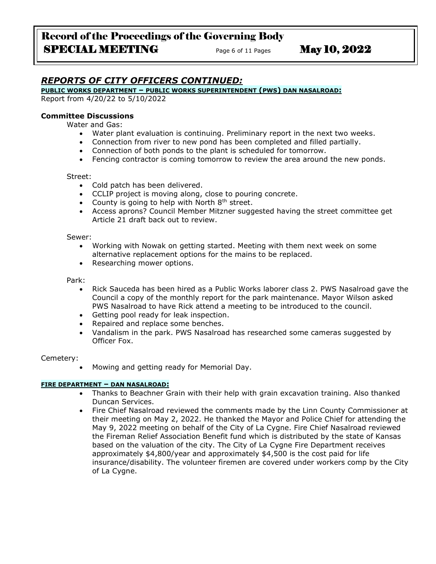# Record of the Proceedings of the Governing Body SPECIAL MEETING Page 6 of 11 Pages May 10, 2022

# *REPORTS OF CITY OFFICERS CONTINUED:*

#### **PUBLIC WORKS DEPARTMENT – PUBLIC WORKS SUPERINTENDENT (PWS) DAN NASALROAD:**

Report from 4/20/22 to 5/10/2022

#### **Committee Discussions**

Water and Gas:

- Water plant evaluation is continuing. Preliminary report in the next two weeks.
- Connection from river to new pond has been completed and filled partially.
- Connection of both ponds to the plant is scheduled for tomorrow.
- Fencing contractor is coming tomorrow to review the area around the new ponds.

#### Street:

- Cold patch has been delivered.
- CCLIP project is moving along, close to pouring concrete.
- County is going to help with North  $8<sup>th</sup>$  street.
- Access aprons? Council Member Mitzner suggested having the street committee get Article 21 draft back out to review.

#### Sewer:

- Working with Nowak on getting started. Meeting with them next week on some alternative replacement options for the mains to be replaced.
- Researching mower options.

Park:

- Rick Sauceda has been hired as a Public Works laborer class 2. PWS Nasalroad gave the Council a copy of the monthly report for the park maintenance. Mayor Wilson asked PWS Nasalroad to have Rick attend a meeting to be introduced to the council.
- Getting pool ready for leak inspection.
- Repaired and replace some benches.
- Vandalism in the park. PWS Nasalroad has researched some cameras suggested by Officer Fox.

#### Cemetery:

• Mowing and getting ready for Memorial Day.

#### **FIRE DEPARTMENT – DAN NASALROAD:**

- Thanks to Beachner Grain with their help with grain excavation training. Also thanked Duncan Services.
- Fire Chief Nasalroad reviewed the comments made by the Linn County Commissioner at their meeting on May 2, 2022. He thanked the Mayor and Police Chief for attending the May 9, 2022 meeting on behalf of the City of La Cygne. Fire Chief Nasalroad reviewed the Fireman Relief Association Benefit fund which is distributed by the state of Kansas based on the valuation of the city. The City of La Cygne Fire Department receives approximately \$4,800/year and approximately \$4,500 is the cost paid for life insurance/disability. The volunteer firemen are covered under workers comp by the City of La Cygne.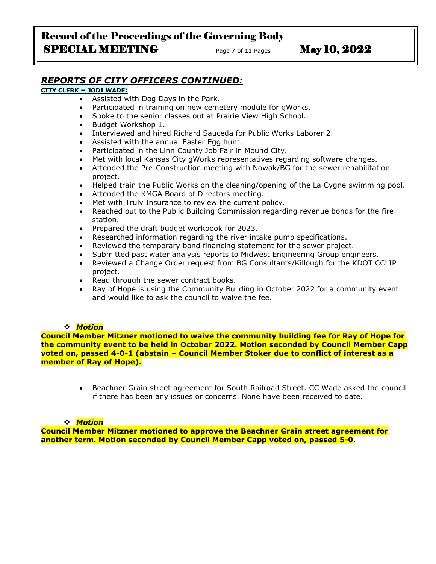# Record of the Proceedings of the Governing Body SPECIAL MEETING<br>
Page 7 of 11 Pages May 10, 2022

# *REPORTS OF CITY OFFICERS CONTINUED:*

#### **CITY CLERK – JODI WADE:**

- Assisted with Dog Days in the Park.
- Participated in training on new cemetery module for gWorks.
- Spoke to the senior classes out at Prairie View High School.
- Budget Workshop 1.
- Interviewed and hired Richard Sauceda for Public Works Laborer 2.
- Assisted with the annual Easter Egg hunt.
- Participated in the Linn County Job Fair in Mound City.
- Met with local Kansas City gWorks representatives regarding software changes.
- Attended the Pre-Construction meeting with Nowak/BG for the sewer rehabilitation project.
- Helped train the Public Works on the cleaning/opening of the La Cygne swimming pool.
- Attended the KMGA Board of Directors meeting.
- Met with Truly Insurance to review the current policy.
- Reached out to the Public Building Commission regarding revenue bonds for the fire station.
- Prepared the draft budget workbook for 2023.
- Researched information regarding the river intake pump specifications.
- Reviewed the temporary bond financing statement for the sewer project.
- Submitted past water analysis reports to Midwest Engineering Group engineers.
- Reviewed a Change Order request from BG Consultants/Killough for the KDOT CCLIP project.
- Read through the sewer contract books.
- Ray of Hope is using the Community Building in October 2022 for a community event and would like to ask the council to waive the fee.

#### ❖ *Motion*

**Council Member Mitzner motioned to waive the community building fee for Ray of Hope for the community event to be held in October 2022. Motion seconded by Council Member Capp voted on, passed 4-0-1 (abstain – Council Member Stoker due to conflict of interest as a member of Ray of Hope).**

> • Beachner Grain street agreement for South Railroad Street. CC Wade asked the council if there has been any issues or concerns. None have been received to date.

#### ❖ *Motion*

**Council Member Mitzner motioned to approve the Beachner Grain street agreement for another term. Motion seconded by Council Member Capp voted on, passed 5-0.**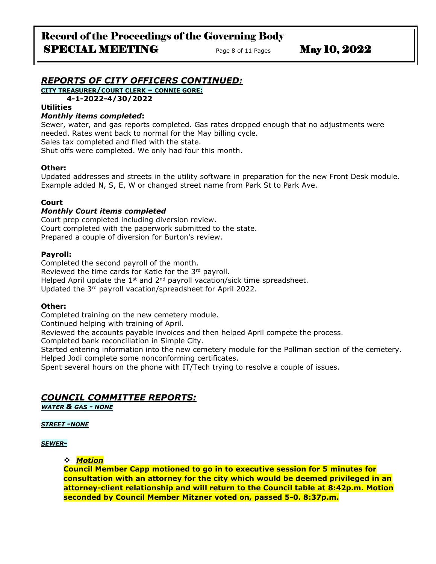## *REPORTS OF CITY OFFICERS CONTINUED:*

**CITY TREASURER/COURT CLERK – CONNIE GORE:**

**4-1-2022-4/30/2022**

#### **Utilities**

#### *Monthly items completed***:**

Sewer, water, and gas reports completed. Gas rates dropped enough that no adjustments were needed. Rates went back to normal for the May billing cycle.

Sales tax completed and filed with the state.

Shut offs were completed. We only had four this month.

#### **Other:**

Updated addresses and streets in the utility software in preparation for the new Front Desk module. Example added N, S, E, W or changed street name from Park St to Park Ave.

#### **Court**

#### *Monthly Court items completed*

Court prep completed including diversion review. Court completed with the paperwork submitted to the state. Prepared a couple of diversion for Burton's review.

#### **Payroll:**

Completed the second payroll of the month. Reviewed the time cards for Katie for the 3rd payroll. Helped April update the  $1<sup>st</sup>$  and  $2<sup>nd</sup>$  payroll vacation/sick time spreadsheet. Updated the 3rd payroll vacation/spreadsheet for April 2022.

#### **Other:**

Completed training on the new cemetery module.

Continued helping with training of April.

Reviewed the accounts payable invoices and then helped April compete the process.

Completed bank reconciliation in Simple City.

Started entering information into the new cemetery module for the Pollman section of the cemetery. Helped Jodi complete some nonconforming certificates.

Spent several hours on the phone with IT/Tech trying to resolve a couple of issues.

## *COUNCIL COMMITTEE REPORTS:*

*WATER & GAS - NONE*

#### *STREET -NONE*

#### *SEWER-*

❖ *Motion* 

**Council Member Capp motioned to go in to executive session for 5 minutes for consultation with an attorney for the city which would be deemed privileged in an attorney-client relationship and will return to the Council table at 8:42p.m. Motion seconded by Council Member Mitzner voted on, passed 5-0. 8:37p.m.**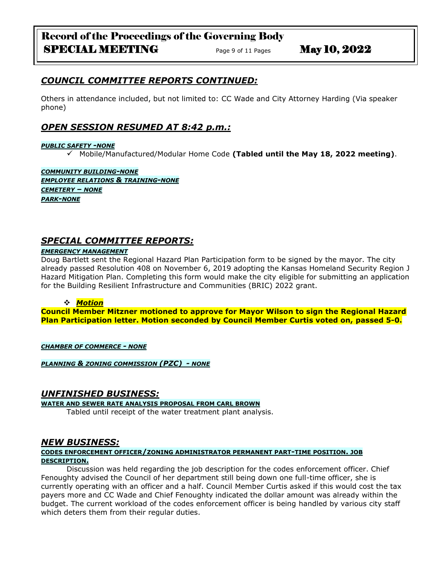# *COUNCIL COMMITTEE REPORTS CONTINUED:*

Others in attendance included, but not limited to: CC Wade and City Attorney Harding (Via speaker phone)

## *OPEN SESSION RESUMED AT 8:42 p.m.:*

#### *PUBLIC SAFETY -NONE*

✓ Mobile/Manufactured/Modular Home Code **(Tabled until the May 18, 2022 meeting)**.

*COMMUNITY BUILDING-NONE EMPLOYEE RELATIONS & TRAINING-NONE CEMETERY – NONE PARK-NONE*

### *SPECIAL COMMITTEE REPORTS:*

#### *EMERGENCY MANAGEMENT*

Doug Bartlett sent the Regional Hazard Plan Participation form to be signed by the mayor. The city already passed Resolution 408 on November 6, 2019 adopting the Kansas Homeland Security Region J Hazard Mitigation Plan. Completing this form would make the city eligible for submitting an application for the Building Resilient Infrastructure and Communities (BRIC) 2022 grant.

#### ❖ *Motion*

**Council Member Mitzner motioned to approve for Mayor Wilson to sign the Regional Hazard Plan Participation letter. Motion seconded by Council Member Curtis voted on, passed 5-0.**

*CHAMBER OF COMMERCE - NONE*

*PLANNING & ZONING COMMISSION (PZC) - NONE*

#### *UNFINISHED BUSINESS:*

#### **WATER AND SEWER RATE ANALYSIS PROPOSAL FROM CARL BROWN**

Tabled until receipt of the water treatment plant analysis.

### *NEW BUSINESS:*

#### **CODES ENFORCEMENT OFFICER/ZONING ADMINISTRATOR PERMANENT PART-TIME POSITION. JOB DESCRIPTION.**

Discussion was held regarding the job description for the codes enforcement officer. Chief Fenoughty advised the Council of her department still being down one full-time officer, she is currently operating with an officer and a half. Council Member Curtis asked if this would cost the tax payers more and CC Wade and Chief Fenoughty indicated the dollar amount was already within the budget. The current workload of the codes enforcement officer is being handled by various city staff which deters them from their regular duties.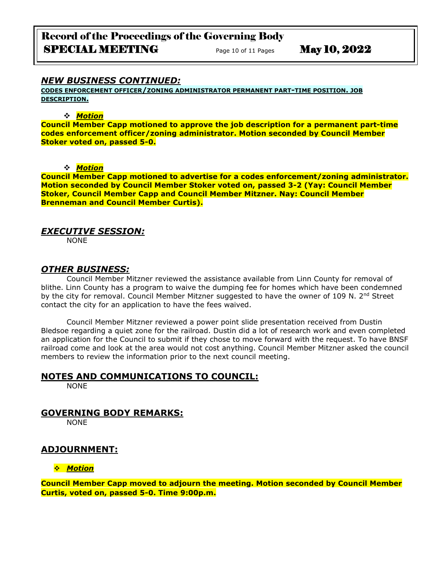# Record of the Proceedings of the Governing Body SPECIAL MEETING Page 10 of 11 Pages May 10, 2022

### *NEW BUSINESS CONTINUED:*

**CODES ENFORCEMENT OFFICER/ZONING ADMINISTRATOR PERMANENT PART-TIME POSITION. JOB DESCRIPTION.**

#### ❖ *Motion*

**Council Member Capp motioned to approve the job description for a permanent part-time codes enforcement officer/zoning administrator. Motion seconded by Council Member Stoker voted on, passed 5-0.**

❖ *Motion* 

**Council Member Capp motioned to advertise for a codes enforcement/zoning administrator. Motion seconded by Council Member Stoker voted on, passed 3-2 (Yay: Council Member Stoker, Council Member Capp and Council Member Mitzner. Nay: Council Member Brenneman and Council Member Curtis).**

### *EXECUTIVE SESSION:*

NONE

### *OTHER BUSINESS:*

Council Member Mitzner reviewed the assistance available from Linn County for removal of blithe. Linn County has a program to waive the dumping fee for homes which have been condemned by the city for removal. Council Member Mitzner suggested to have the owner of 109 N.  $2^{nd}$  Street contact the city for an application to have the fees waived.

Council Member Mitzner reviewed a power point slide presentation received from Dustin Bledsoe regarding a quiet zone for the railroad. Dustin did a lot of research work and even completed an application for the Council to submit if they chose to move forward with the request. To have BNSF railroad come and look at the area would not cost anything. Council Member Mitzner asked the council members to review the information prior to the next council meeting.

### **NOTES AND COMMUNICATIONS TO COUNCIL:**

NONE

## **GOVERNING BODY REMARKS:**

NONE

## **ADJOURNMENT:**

#### ❖ *Motion*

**Council Member Capp moved to adjourn the meeting. Motion seconded by Council Member Curtis, voted on, passed 5-0. Time 9:00p.m.**